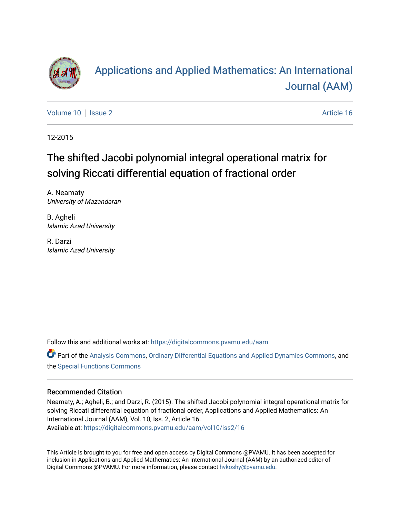

# [Applications and Applied Mathematics: An International](https://digitalcommons.pvamu.edu/aam)  [Journal \(AAM\)](https://digitalcommons.pvamu.edu/aam)

[Volume 10](https://digitalcommons.pvamu.edu/aam/vol10) | [Issue 2](https://digitalcommons.pvamu.edu/aam/vol10/iss2) Article 16

12-2015

# The shifted Jacobi polynomial integral operational matrix for solving Riccati differential equation of fractional order

A. Neamaty University of Mazandaran

B. Agheli Islamic Azad University

R. Darzi Islamic Azad University

Follow this and additional works at: [https://digitalcommons.pvamu.edu/aam](https://digitalcommons.pvamu.edu/aam?utm_source=digitalcommons.pvamu.edu%2Faam%2Fvol10%2Fiss2%2F16&utm_medium=PDF&utm_campaign=PDFCoverPages) 

Part of the [Analysis Commons](http://network.bepress.com/hgg/discipline/177?utm_source=digitalcommons.pvamu.edu%2Faam%2Fvol10%2Fiss2%2F16&utm_medium=PDF&utm_campaign=PDFCoverPages), [Ordinary Differential Equations and Applied Dynamics Commons](http://network.bepress.com/hgg/discipline/121?utm_source=digitalcommons.pvamu.edu%2Faam%2Fvol10%2Fiss2%2F16&utm_medium=PDF&utm_campaign=PDFCoverPages), and the [Special Functions Commons](http://network.bepress.com/hgg/discipline/1368?utm_source=digitalcommons.pvamu.edu%2Faam%2Fvol10%2Fiss2%2F16&utm_medium=PDF&utm_campaign=PDFCoverPages) 

#### Recommended Citation

Neamaty, A.; Agheli, B.; and Darzi, R. (2015). The shifted Jacobi polynomial integral operational matrix for solving Riccati differential equation of fractional order, Applications and Applied Mathematics: An International Journal (AAM), Vol. 10, Iss. 2, Article 16. Available at: [https://digitalcommons.pvamu.edu/aam/vol10/iss2/16](https://digitalcommons.pvamu.edu/aam/vol10/iss2/16?utm_source=digitalcommons.pvamu.edu%2Faam%2Fvol10%2Fiss2%2F16&utm_medium=PDF&utm_campaign=PDFCoverPages)

This Article is brought to you for free and open access by Digital Commons @PVAMU. It has been accepted for inclusion in Applications and Applied Mathematics: An International Journal (AAM) by an authorized editor of Digital Commons @PVAMU. For more information, please contact [hvkoshy@pvamu.edu.](mailto:hvkoshy@pvamu.edu)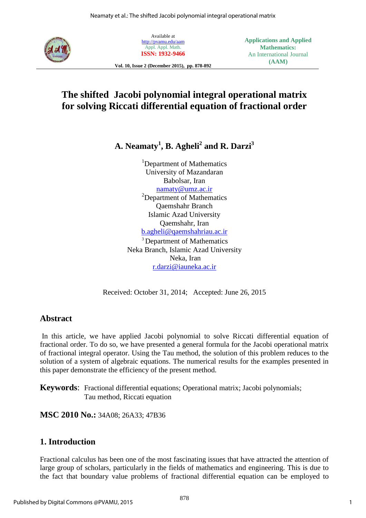

Available at <http://pvamu.edu/aam> Appl. Appl. Math. **ISSN: 1932-9466**

**Vol. 10, Issue 2 (December 2015), pp. 878-892**

**Applications and Applied Mathematics:** An International Journal **(AAM)**

## **The shifted Jacobi polynomial integral operational matrix for solving Riccati differential equation of fractional order**

**A. Neamaty<sup>1</sup> , B. Agheli<sup>2</sup> and R. Darzi<sup>3</sup>**

<sup>1</sup>Department of Mathematics University of Mazandaran Babolsar, Iran [namaty@umz.ac.ir](mailto:namaty@umz.ac.ir) <sup>2</sup>Department of Mathematics Qaemshahr Branch Islamic Azad University Qaemshahr, Iran [b.agheli@qaemshahriau.ac.ir](mailto:b.agheli@qaemshahriau.ac.ir) <sup>3</sup> Department of Mathematics Neka Branch, Islamic Azad University Neka, Iran [r.darzi@iauneka.ac.ir](mailto:r.darzi@iauneka.ac.ir)

Received: October 31, 2014; Accepted: June 26, 2015

## **Abstract**

 In this article, we have applied Jacobi polynomial to solve Riccati differential equation of fractional order. To do so, we have presented a general formula for the Jacobi operational matrix of fractional integral operator. Using the Tau method, the solution of this problem reduces to the solution of a system of algebraic equations. The numerical results for the examples presented in this paper demonstrate the efficiency of the present method.

**Keywords**: Fractional differential equations; Operational matrix; Jacobi polynomials; Tau method, Riccati equation

**MSC 2010 No.:** 34A08; 26A33; 47B36

## **1. Introduction**

Fractional calculus has been one of the most fascinating issues that have attracted the attention of large group of scholars, particularly in the fields of mathematics and engineering. This is due to the fact that boundary value problems of fractional differential equation can be employed to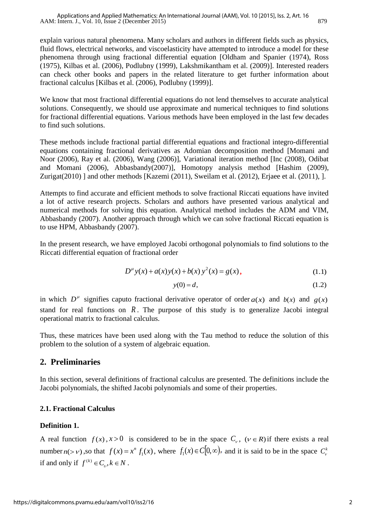explain various natural phenomena. Many scholars and authors in different fields such as physics, fluid flows, electrical networks, and viscoelasticity have attempted to introduce a model for these phenomena through using fractional differential equation [Oldham and Spanier (1974), Ross (1975), Kilbas et al. (2006), Podlubny (1999), Lakshmikantham et al. (2009)]. Interested readers can check other books and papers in the related literature to get further information about fractional calculus [Kilbas et al. (2006), Podlubny (1999)].

We know that most fractional differential equations do not lend themselves to accurate analytical solutions. Consequently, we should use approximate and numerical techniques to find solutions for fractional differential equations. Various methods have been employed in the last few decades to find such solutions.

These methods include fractional partial differential equations and fractional integro-differential equations containing fractional derivatives as Adomian decomposition method [Momani and Noor (2006), Ray et al. (2006), Wang (2006)], Variational iteration method [Inc (2008), Odibat and Momani (2006), Abbasbandy(2007)], Homotopy analysis method [Hashim (2009), Zurigat(2010) ] and other methods [Kazemi (2011), Sweilam et al. (2012), Erjaee et al. (2011), ].

Attempts to find accurate and efficient methods to solve fractional Riccati equations have invited a lot of active research projects. Scholars and authors have presented various analytical and numerical methods for solving this equation. Analytical method includes the ADM and VIM, Abbasbandy (2007). Another approach through which we can solve fractional Riccati equation is to use HPM, Abbasbandy (2007).

In the present research, we have employed Jacobi orthogonal polynomials to find solutions to the Riccati differential equation of fractional order

$$
D^{\mu} y(x) + a(x) y(x) + b(x) y^{2}(x) = g(x),
$$
\n(1.1)

$$
y(0) = d,\tag{1.2}
$$

in which  $D^{\mu}$  signifies caputo fractional derivative operator of order  $a(x)$  and  $b(x)$  and  $g(x)$ stand for real functions on  $R$ . The purpose of this study is to generalize Jacobi integral operational matrix to fractional calculus.

Thus, these matrices have been used along with the Tau method to reduce the solution of this problem to the solution of a system of algebraic equation.

## **2. Preliminaries**

In this section, several definitions of fractional calculus are presented. The definitions include the Jacobi polynomials, the shifted Jacobi polynomials and some of their properties.

## **2.1. Fractional Calculus**

## **Definition 1.**

A real function  $f(x)$ ,  $x > 0$  is considered to be in the space  $C<sub>\nu</sub>$ ,  $(\nu \in R)$  if there exists a real number  $n(\gt v)$ , so that  $f(x) = x^n f_1(x)$ , where  $f_1(x) \in C[0,\infty)$ , and it is said to be in the space  $C_v^k$ if and only if  $f^{(k)} \in C_{\nu}$ ,  $k \in N$ .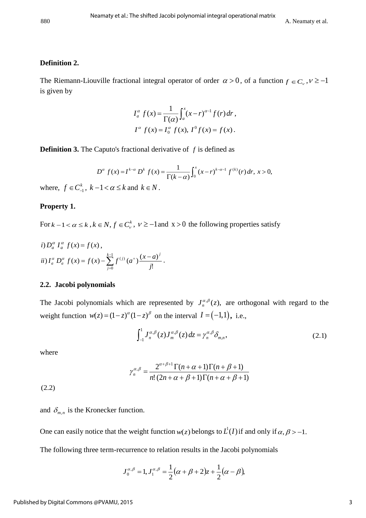#### **Definition 2.**

The Riemann-Liouville fractional integral operator of order  $\alpha > 0$ , of a function  $f \in C_{\nu}$ ,  $\nu \ge -1$ is given by

$$
I_{a}^{\alpha} f(x) = \frac{1}{\Gamma(\alpha)} \int_{a}^{x} (x - r)^{\alpha - 1} f(r) dr,
$$
  
\n
$$
I^{\alpha} f(x) = I_{0}^{\alpha} f(x), I^{0} f(x) = f(x).
$$

**Definition 3.** The Caputo's fractional derivative of *f* is defined as

$$
D^{\alpha} f(x) = I^{k-\alpha} D^k f(x) = \frac{1}{\Gamma(k-\alpha)} \int_0^x (x-r)^{k-\alpha-1} f^{(k)}(r) dr, \ x > 0,
$$

where,  $f \in C_{-1}^k$ ,  $k-1 < \alpha \leq k$  and  $k \in N$ .

#### **Property 1.**

For  $k - 1 < \alpha \le k$ ,  $k \in N$ ,  $f \in C_v^k$ ,  $v \ge -1$  and  $x > 0$  the following properties satisfy

*i)* 
$$
D_a^{\alpha} I_a^{\alpha} f(x) = f(x)
$$
,  
\n*ii)*  $I_a^{\alpha} D_a^{\alpha} f(x) = f(x) - \sum_{j=0}^{k-1} f^{(j)}(a^+) \frac{(x-a)^j}{j!}$ .

#### **2.2. Jacobi polynomials**

The Jacobi polynomials which are represented by  $J_n^{\alpha,\beta}(z)$ , are orthogonal with regard to the weight function  $w(z) = (1-z)^{\alpha}(1-z)^{\beta}$  on the interval  $I = (-1,1)$ , i.e.,

$$
\int_{-1}^{1} J_n^{\alpha,\beta}(z) J_m^{\alpha,\beta}(z) dz = \gamma_n^{\alpha,\beta} \delta_{m,n},
$$
\n(2.1)

where

$$
\gamma_n^{\alpha,\beta} = \frac{2^{\alpha+\beta+1} \Gamma(n+\alpha+1) \Gamma(n+\beta+1)}{n! (2n+\alpha+\beta+1) \Gamma(n+\alpha+\beta+1)}
$$

 $(2.2)$ 

and  $\delta_{m,n}$  is the Kronecker function.

One can easily notice that the weight function  $w(z)$  belongs to  $L^1(I)$  if and only if  $\alpha, \beta > -1$ .

The following three term-recurrence to relation results in the Jacobi polynomials

$$
J_0^{\alpha,\beta} = 1, J_1^{\alpha,\beta} = \frac{1}{2}(\alpha + \beta + 2)z + \frac{1}{2}(\alpha - \beta),
$$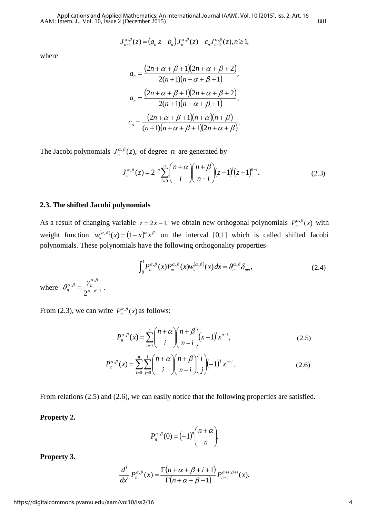AAM: Intern. J., Vol. 10, Issue 2 (December 2015)<br>  $J_{n+1}^{\alpha,\beta}(z) = (a_n z - b_n) J_n^{\alpha,\beta}(z) - c_n J_{n-1}^{\alpha,\beta}(z), n \ge 1,$ Applications and Applied Mathematics: An International Journal (AAM), Vol. 10 [2015], Iss. 2, Art. 16

$$
J_{n+1}^{\alpha,\beta}(z) = (a_n z - b_n) J_n^{\alpha,\beta}(z) - c_n J_{n-1}^{\alpha,\beta}(z), n \ge 1,
$$

where

$$
a_n = \frac{(2n + \alpha + \beta + 1)(2n + \alpha + \beta + 2)}{2(n + 1)(n + \alpha + \beta + 1)},
$$
  
\n
$$
a_n = \frac{(2n + \alpha + \beta + 1)(2n + \alpha + \beta + 2)}{2(n + 1)(n + \alpha + \beta + 1)},
$$
  
\n
$$
c_n = \frac{(2n + \alpha + \beta + 1)(n + \alpha)(n + \beta)}{(n + 1)(n + \alpha + \beta + 1)(2n + \alpha + \beta)}.
$$

The Jacobi polynomials 
$$
J_n^{\alpha,\beta}(z)
$$
, of degree *n* are generated by\n
$$
J_n^{\alpha,\beta}(z) = 2^{-n} \sum_{i=0}^n {n+\alpha \choose i} {n+\beta \choose n-i} (z-1)^i (z+1)^{n-i}.
$$
\n(2.3)

#### **2.3. The shifted Jacobi polynomials**

As a result of changing variable  $z = 2x - 1$ , we obtain new orthogonal polynomials  $P_n^{\alpha,\beta}(x)$  with weight function  $w_s^{(\alpha,\beta)}(x) = (1-x)^\alpha x^\beta$  on the interval [0,1] which is called shifted Jacobi polynomials. These polynomials have the following orthogonality properties

$$
\int_0^1 P_n^{\alpha,\beta}(x) P_m^{\alpha,\beta}(x) w_s^{(\alpha,\beta)}(x) dx = \mathcal{G}_n^{\alpha,\beta} \delta_{mn},
$$
\nwhere  $\mathcal{G}_n^{\alpha,\beta} = \frac{\gamma_n^{\alpha,\beta}}{2^{\alpha+\beta+1}}$ . (2.4)

From (2.3), we can write  $P_n^{\alpha,\beta}(x)$  as follows:

$$
P_n^{\alpha,\beta}(x) = \sum_{i=0}^n {n+\alpha \choose i} {n+\beta \choose n-i} (x-1)^i x^{n-i},
$$
\n(2.5)

$$
P_n^{\alpha,\beta}(x) = \sum_{i=0}^n \sum_{j=0}^i {n+\alpha \choose i} {n+\beta \choose n-i} {i \choose j} (-1)^j x^{n-i}.
$$
 (2.6)

From relations (2.5) and (2.6), we can easily notice that the following properties are satisfied.

#### **Property 2.**

$$
P_n^{\alpha,\beta}(0) = (-1)^n \binom{n+\alpha}{n}.
$$

**Property 3.**

$$
\frac{d^i}{dx^i} P_n^{\alpha,\beta}(x) = \frac{\Gamma(n+\alpha+\beta+i+1)}{\Gamma(n+\alpha+\beta+1)} P_{n-i}^{\alpha+i,\beta+i}(x).
$$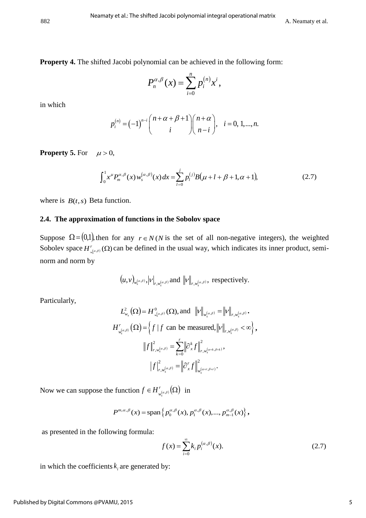**Property 4.** The shifted Jacobi polynomial can be achieved in the following form:

$$
P_n^{\alpha,\beta}(x)=\sum_{i=0}^n p_i^{(n)}x^i,
$$

in which

$$
p_i^{(n)} = (-1)^{n-i} {n+\alpha+\beta+1 \choose i} {n+\alpha \choose n-i}, \quad i = 0, 1, ..., n.
$$

**Property 5.** For  $\mu > 0$ ,

$$
\int_0^1 x^{\mu} P_m^{\alpha,\beta}(x) w_s^{(\alpha,\beta)}(x) dx = \sum_{l=0}^j p_l^{(j)} B(\mu + l + \beta + 1, \alpha + 1),
$$
 (2.7)

where is  $B(t, s)$  Beta function.

#### **2.4. The approximation of functions in the Sobolov space**

Suppose  $\Omega = (0,1)$ , then for any  $r \in N(N$  is the set of all non-negative integers), the weighted Sobolev space  $H^r_{\omega(\alpha,\beta)}(\Omega)$  $H^r_{\mathbf{w}^{(\alpha,\beta)}}(\Omega)$  can be defined in the usual way, which indicates its inner product, seminorm and norm by

$$
(u, v)_{w_s^{(\alpha,\beta)}}, |v|_{r,w_s^{(\alpha,\beta)}}
$$
 and  $||v||_{r,w_s^{(\alpha,\beta)}},$  respectively.

Particularly,

$$
L_{w_s}^2(\Omega) = H_{w_s^{(\alpha,\beta)}}^0(\Omega), \text{ and } ||v||_{w_s^{(\alpha,\beta)}} = ||v||_{r,w_s^{(\alpha,\beta)}}.
$$

$$
H_{w_s^{(\alpha,\beta)}}^r(\Omega) = \left\{ f \mid f \text{ can be measured, } ||v||_{r,w_s^{(\alpha,\beta)}} < \infty \right\},
$$

$$
||f||_{r,w_s^{(\alpha,\beta)}}^2 = \sum_{k=0}^r ||\partial_x^k f||_{r,w_s^{(\alpha+k,\beta+k)}}^2,
$$

$$
|f|^2_{r,w_s^{(\alpha,\beta)}} = ||\partial_x^r f||_{w_s^{(\alpha+r,\beta+r)}}^2.
$$

Now we can suppose the function  $f \in H'_{\omega}(a,\beta)}(\Omega)$  is  $f \in H^{r}_{w_s^{(\alpha,\beta)}}(\Omega)$  in

$$
P^{m,\alpha,\beta}(x) = \text{span}\left\{p_0^{\alpha,\beta}(x), p_1^{\alpha,\beta}(x), ..., p_{m-1}^{\alpha,\beta}(x)\right\},\,
$$

as presented in the following formula:

$$
f(x) = \sum_{i=0}^{\infty} k_i p_i^{(\alpha,\beta)}(x).
$$
 (2.7)

in which the coefficients  $k_i$  are generated by: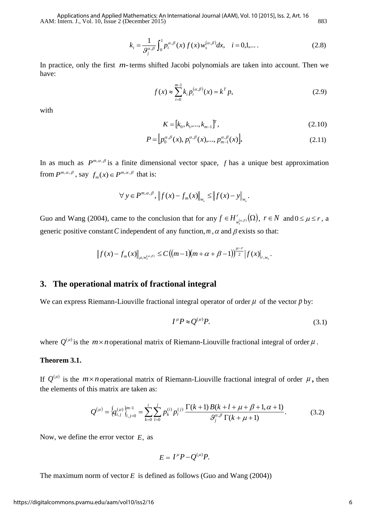AAM: Intern. J., Vol. 10, Issue 2 (December 2015) 883 Applications and Applied Mathematics: An International Journal (AAM), Vol. 10 [2015], Iss. 2, Art. 16

$$
k_{i} = \frac{1}{\mathcal{G}_{j}^{\alpha,\beta}} \int_{0}^{1} p_{i}^{\alpha,\beta}(x) f(x) w_{s}^{(\alpha,\beta)} dx, \quad i = 0,1,... \tag{2.8}
$$

In practice, only the first *m*-terms shifted Jacobi polynomials are taken into account. Then we have:

$$
f(x) \approx \sum_{i=0}^{m-1} k_i p_i^{(\alpha,\beta)}(x) = k^T p,
$$
 (2.9)

with

$$
K = [k_0, k_1, \dots, k_{m-1}]^T, \tag{2.10}
$$

$$
P = \left[ p_0^{\alpha,\beta}(x), p_1^{\alpha,\beta}(x), \dots, p_{m-1}^{\alpha,\beta}(x) \right].
$$
 (2.11)

In as much as  $P^{m,\alpha,\beta}$  is a finite dimensional vector space, f has a unique best approximation from  $P^{m,\alpha,\beta}$ , say  $f_m(x) \in P^{m,\alpha,\beta}$  that is:

$$
\forall y \in P^{m, \alpha, \beta}, \|f(x) - f_m(x)\|_{w_s} \le \|f(x) - y\|_{w_s}.
$$

Guo and Wang (2004), came to the conclusion that for any  $f \in H_{\mu(a,\beta)}^r(\Omega)$ , i  $f \in H^{r}_{w^{(\alpha,\beta)}}(\Omega)$ ,  $r \in N$  and  $0 \leq \mu \leq r$ , a generic positive constant C independent of any function,  $m, \alpha$  and  $\beta$  exists so that:

nstant *C* independent of any function, *m*, 
$$
\alpha
$$
 and  $\beta$  exists so that  
\n
$$
|| f(x) - f_m(x) ||_{\mu, w_s^{(\alpha,\beta)}} \leq C \big( (m-1)(m+\alpha+\beta-1) \big)^{\frac{\mu-r}{2}} | f(x) |_{r,w_s}.
$$

#### **3. The operational matrix of fractional integral**

We can express Riemann-Liouville fractional integral operator of order  $\mu$  of the vector  $p$  by:

$$
I^{\mu}P \approx Q^{(\mu)}P. \tag{3.1}
$$

where  $Q^{(\mu)}$  is the  $m \times n$  operational matrix of Riemann-Liouville fractional integral of order  $\mu$ .

#### **Theorem 3.1.**

If  $Q^{(\mu)}$  is the  $m \times n$  operational matrix of Riemann-Liouville fractional integral of order  $\mu$ , then the elements of this matrix are taken as:

$$
\times n \text{ operational matrix of Riemann-Liouville fractional integral of order } \mu, \text{ the}
$$
\n
$$
D^{(\mu)} = \left\{ q_{i,j}^{(\mu)} \right\}_{i,j=0}^{m-1} = \sum_{k=0}^{i} \sum_{l=0}^{j} p_k^{(i)} p_l^{(j)} \frac{\Gamma(k+1) B(k+l+\mu+\beta+1, \alpha+1)}{\vartheta_j^{\alpha,\beta} \Gamma(k+\mu+1)}.
$$
\n(3.2)

Now, we define the error vector *E*, as

$$
E=I^{\mu}P-Q^{(\mu)}P.
$$

The maximum norm of vector  $E$  is defined as follows (Guo and Wang  $(2004)$ )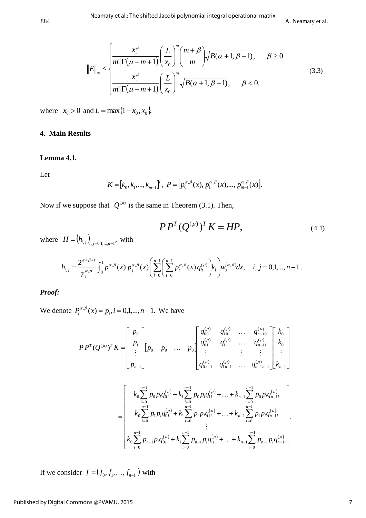$$
||E||_{\infty} \le \begin{cases} \frac{x^{\mu}}{m! |\Gamma(\mu - m + 1)|} \left(\frac{L}{x_0}\right)^m \binom{m + \beta}{m} \sqrt{B(\alpha + 1, \beta + 1)}, & \beta \ge 0\\ \frac{x^{\mu}}{m! |\Gamma(\mu - m + 1)|} \left(\frac{L}{x_0}\right)^m \sqrt{B(\alpha + 1, \beta + 1)}, & \beta < 0, \end{cases}
$$
(3.3)

where  $x_0 > 0$  and  $L = \max\{1 - x_0, x_0\}.$ 

#### **4. Main Results**

#### **Lemma 4.1***.*

Let

$$
K = [k_0, k_1, ..., k_{m-1}]^T, P = [p_0^{\alpha,\beta}(x), p_1^{\alpha,\beta}(x), ..., p_{m-1}^{\alpha,\beta}(x)].
$$

Now if we suppose that  $Q^{(\mu)}$  is the same in Theorem (3.1). Then,

$$
PP^{T}(Q^{(\mu)})^{T} K = HP,
$$
\n(4.1)

where  $H = (h_{i,j})_{i,j=0,1,...,n-1}$ , with

$$
PP^{T}(Q^{(\mu)})^{T} K = HP,
$$
  
\n
$$
H = (h_{i,j})_{i,j=0,1,...,n-1}
$$
, with  
\n
$$
h_{i,j} = \frac{2^{\alpha+\beta+1}}{\gamma_{j}^{\alpha,\beta}} \int_{0}^{1} p_{i}^{\alpha,\beta}(x) p_{j}^{\alpha,\beta}(x) \left( \sum_{l=0}^{n-1} \left( \sum_{t=0}^{n-1} p_{t}^{\alpha,\beta}(x) q_{u}^{(\mu)} \right) k_{l} \right) w_{s}^{(\alpha,\beta)} dx, \quad i, j = 0,1,...,n-1.
$$

*Proof:*

We denote  $P_i^{\alpha,\beta}(x) = p_i, i = 0,1,...,n-1$ . We have

$$
PP^{T}(Q^{(\mu)})^{T} K = \begin{bmatrix} p_{0} \\ p_{1} \\ \vdots \\ p_{n-1} \end{bmatrix} \begin{bmatrix} p_{0} & 0 & \cdots & p_{0} \end{bmatrix} \begin{bmatrix} q_{00}^{(\mu)} & q_{10}^{(\mu)} & \cdots & q_{n-10}^{(\mu)} \\ q_{01}^{(\mu)} & q_{11}^{(\mu)} & \cdots & q_{n-11}^{(\mu)} \\ \vdots & \vdots & \vdots & \vdots \\ q_{0n-1}^{(\mu)} & q_{1n-1}^{(\mu)} & \cdots & q_{n-1n-1}^{(\mu)} \end{bmatrix} \begin{bmatrix} k_{0} \\ k_{0} \\ \vdots \\ k_{n-1} \end{bmatrix}
$$

$$
= \begin{bmatrix} k_0 \sum_{i=0}^{n-1} p_0 p_i q_{0i}^{(\mu)} + k_1 \sum_{i=0}^{n-1} p_0 p_i q_{1i}^{(\mu)} + \ldots + k_{n-1} \sum_{i=0}^{n-1} p_0 p_i q_{n-1i}^{(\mu)} \\ k_0 \sum_{i=0}^{n-1} p_1 p_i q_{0i}^{(\mu)} + k_1 \sum_{i=0}^{n-1} p_1 p_i q_{1i}^{(\mu)} + \ldots + k_{n-1} \sum_{i=0}^{n-1} p_1 p_i q_{n-1i}^{(\mu)} \\ \vdots \\ k_0 \sum_{i=0}^{n-1} p_{n-1} p_i q_{0i}^{(\mu)} + k_1 \sum_{i=0}^{n-1} p_{n-1} p_i q_{1i}^{(\mu)} + \ldots + k_{n-1} \sum_{i=0}^{n-1} p_{n-1} p_i q_{n-1i}^{(\mu)} \end{bmatrix}.
$$

If we consider  $f = (f_0, f_1, \ldots, f_{n-1})$  with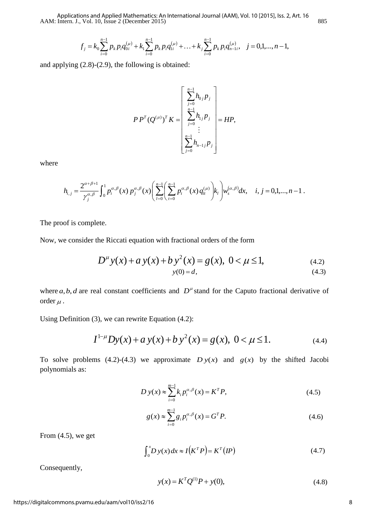AAM: Intern. J., Vol. 10, Issue 2 (December 2015) 885 Applications and Applied Mathematics: An International Journal (AAM), Vol. 10 [2015], Iss. 2, Art. 16

$$
f_j = k_0 \sum_{i=0}^{n-1} p_k p_i q_{0i}^{(\mu)} + k_1 \sum_{i=0}^{n-1} p_k p_i q_{1i}^{(\mu)} + \ldots + k_j \sum_{i=0}^{n-1} p_k p_i q_{n-1i}^{(\mu)}, \quad j = 0, 1, \ldots, n-1,
$$

and applying (2.8)-(2.9), the following is obtained:

$$
P P^{T} (Q^{(\mu)})^{T} K = \begin{bmatrix} \sum_{j=0}^{n-1} h_{0j} P_{j} \\ \sum_{j=0}^{n-1} h_{1j} P_{j} \\ \vdots \\ \sum_{j=0}^{n-1} h_{n-1j} P_{j} \end{bmatrix} = H P,
$$

where

$$
\left[\frac{\sum_{j=0}^{n} n_{n-1j} P_j}{\sum_{j=0}^{n} P_i^{a,\beta}}\right]
$$

$$
h_{i,j} = \frac{2^{\alpha+\beta+1}}{\gamma_j^{a,\beta}} \int_0^1 p_i^{\alpha,\beta}(x) p_j^{\alpha,\beta}(x) \left(\sum_{l=0}^{n-1} \left(\sum_{t=0}^{n-1} p_t^{\alpha,\beta}(x) q_u^{(\mu)}\right) k_l\right) w_s^{(\alpha,\beta)} dx, \quad i, j = 0,1,...,n-1.
$$

The proof is complete.

Now, we consider the Riccati equation with fractional orders of the form  
\n
$$
D^{\mu} y(x) + a y(x) + b y^2(x) = g(x), \quad 0 < \mu \le 1,
$$
\n(4.2)  
\n
$$
y(0) = d,
$$
\n(4.3)

where  $a, b, d$  are real constant coefficients and  $D^{\mu}$  stand for the Caputo fractional derivative of order  $\mu$  .

Using Definition (3), we can rewrite Equation (4.2):

(3), we can rewrite Equation (4.2):  
\n
$$
I^{1-\mu}Dy(x) + a y(x) + b y^2(x) = g(x), \ 0 < \mu \le 1.
$$
\n(4.4)

To solve problems (4.2)-(4.3) we approximate  $D y(x)$  and  $g(x)$  by the shifted Jacobi polynomials as:

$$
D y(x) \approx \sum_{i=0}^{m-1} k_i p_i^{\alpha,\beta}(x) = K^T P,
$$
\n(4.5)

$$
g(x) \approx \sum_{i=0}^{m-1} g_i p_i^{\alpha,\beta}(x) = G^T P.
$$
 (4.6)

From  $(4.5)$ , we get

$$
\int_0^x D y(x) dx \approx I(K^T P) = K^T (IP)
$$
\n(4.7)

Consequently,

$$
y(x) = K^T Q^{(1)} P + y(0),
$$
\n(4.8)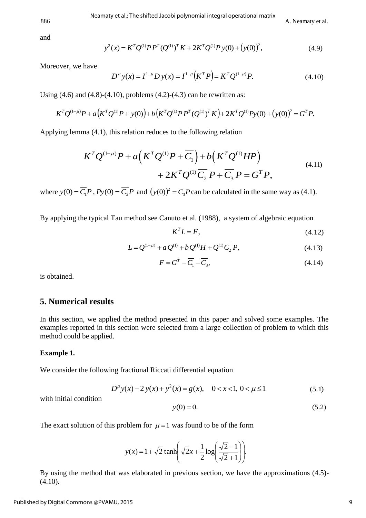886 A. Neamaty et al.

and

A. Neamaty et a  
\n
$$
y^{2}(x) = K^{T}Q^{(1)}P P^{T}(Q^{(1)})^{T} K + 2K^{T}Q^{(1)}P y(0) + (y(0))^{2},
$$
\n(4.9)

Moreover, we have

$$
(x) = K^{\prime} Q^{(1)} P P^{\mu} (Q^{(1)})^{\prime} K + 2K^{\prime} Q^{(1)} P y(0) + (y(0))^{\prime}, \qquad (4.9)
$$
  

$$
D^{\mu} y(x) = I^{1-\mu} D y(x) = I^{1-\mu} (K^T P) = K^T Q^{(1-\mu)} P. \qquad (4.10)
$$

Using  $(4.6)$  and  $(4.8)-(4.10)$ , problems  $(4.2)-(4.3)$  can be rewritten as:

Moreover, we have  
\n
$$
D^{\mu} y(x) = I^{1-\mu} D y(x) = I^{1-\mu} (K^T P) = K^T Q^{(1-\mu)} P.
$$
\n(4.10)  
\nUsing (4.6) and (4.8)-(4.10), problems (4.2)-(4.3) can be rewritten as:  
\n
$$
K^T Q^{(1-\mu)} P + a (K^T Q^{(1)} P + y(0)) + b (K^T Q^{(1)} P P^T (Q^{(1)})^T K) + 2K^T Q^{(1)} P y(0) + (y(0))^2 = G^T P.
$$

$$
K^{T}Q^{(1-\mu)}P + a(K^{T}Q^{(1)}P + y(0)) + b(K^{T}Q^{(1)}P P^{T}(Q^{(1)})^{T} K) + 2K^{T}Q^{(1)}P y(0) + (y(0))^{2} = G^{T} P.
$$
  
Applying lemma (4.1), this relation reduces to the following relation  

$$
K^{T}Q^{(1-\mu)}P + a(K^{T}Q^{(1)}P + \overline{C_{1}}) + b(K^{T}Q^{(1)}HP)
$$

$$
+ 2K^{T}Q^{(1)}\overline{C_{2}}P + \overline{C_{3}}P = G^{T}P,
$$
(4.11)

where  $y(0) = \overline{C_1}P$ ,  $Py(0) = \overline{C_2}P$  and  $(y(0))^2 = \overline{C_3}P$  can be calculated in the same way as (4.1).

By applying the typical Tau method see Canuto et al. (1988), a system of algebraic equation

$$
K^T L = F,\tag{4.12}
$$

$$
L = Q^{(1-\mu)} + aQ^{(1)} + bQ^{(1)}H + Q^{(1)}\overline{C}_2 P,
$$
\n(4.13)

$$
F = GT - \overline{C_1} - \overline{C_3},\tag{4.14}
$$

is obtained.

#### **5. Numerical results**

In this section, we applied the method presented in this paper and solved some examples. The examples reported in this section were selected from a large collection of problem to which this method could be applied.

#### **Example 1***.*

We consider the following fractional Riccati differential equation

$$
D^{\mu}y(x) - 2y(x) + y^2(x) = g(x), \quad 0 < x < 1, \quad 0 < \mu \le 1 \tag{5.1}
$$

with initial condition

$$
y(0) = 0.\t(5.2)
$$

The exact solution of this problem for  $\mu = 1$  was found to be of the form

$$
y(x) = 1 + \sqrt{2} \tanh\left(\sqrt{2}x + \frac{1}{2}\log\left(\frac{\sqrt{2}-1}{\sqrt{2}+1}\right)\right)
$$

By using the method that was elaborated in previous section, we have the approximations (4.5)-  $(4.10).$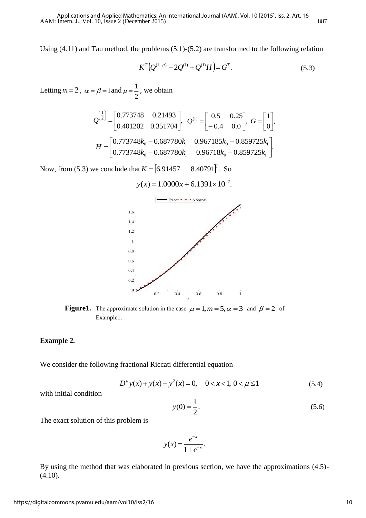Using (4.11) and Tau method, the problems (5.1)-(5.2) are transformed to the following relation

$$
K^{T}(Q^{(1-\mu)} - 2Q^{(1)} + Q^{(1)}H) = G^{T}.
$$
\n(5.3)

Letting  $m = 2$ ,  $\alpha = \beta = 1$  and 2  $\mu = \frac{1}{2}$ , we obtain

$$
Q^{\left(\frac{1}{2}\right)} = \begin{bmatrix} 0.773748 & 0.21493 \\ 0.401202 & 0.351704 \end{bmatrix}, \quad Q^{(1)} = \begin{bmatrix} 0.5 & 0.25 \\ -0.4 & 0.0 \end{bmatrix}, \quad G = \begin{bmatrix} 1 \\ 0 \end{bmatrix},
$$

$$
H = \begin{bmatrix} 0.773748k_0 - 0.687780k_1 & 0.967185k_0 - 0.859725k_1 \\ 0.773748k_0 - 0.687780k_1 & 0.96718k_0 - 0.859725k_1 \end{bmatrix}.
$$

Now, from (5.3) we conclude that *K*  $[6.91457 \quad 8.40791]^{T}$ . So

$$
y(x) = 1.0000x + 6.1391 \times 10^{-7}.
$$



**Figure1.** The approximate solution in the case  $\mu = 1, m = 5, \alpha = 3$  and  $\beta = 2$  of Example1*.*

#### **Example 2***.*

We consider the following fractional Riccati differential equation

$$
D^{\mu}y(x) + y(x) - y^2(x) = 0, \quad 0 < x < 1, \quad 0 < \mu \le 1
$$
\n(5.4)

with initial condition

$$
y(0) = \frac{1}{2}.\tag{5.6}
$$

The exact solution of this problem is

$$
y(x) = \frac{e^{-x}}{1 + e^{-x}}.
$$

By using the method that was elaborated in previous section, we have the approximations (4.5)-  $(4.10).$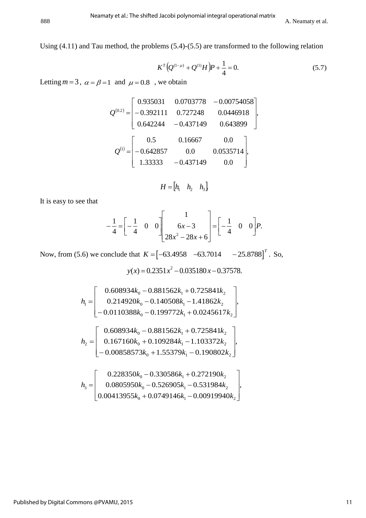Using (4.11) and Tau method, the problems (5.4)-(5.5) are transformed to the following relation

$$
K^{T}(Q^{(1-\mu)} + Q^{(1)}H)P + \frac{1}{4} = 0.
$$
\n(5.7)

Letting  $m = 3$ ,  $\alpha = \beta = 1$  and  $\mu = 0.8$ , we obtain

$$
Q^{(0.2)} = \begin{bmatrix} 0.935031 & 0.0703778 & -0.00754058 \\ -0.392111 & 0.727248 & 0.0446918 \\ 0.642244 & -0.437149 & 0.643899 \end{bmatrix},
$$

$$
Q^{(1)} = \begin{bmatrix} 0.5 & 0.16667 & 0.0 \\ -0.642857 & 0.0 & 0.0535714 \\ 1.33333 & -0.437149 & 0.0 \end{bmatrix},
$$

$$
H = \begin{bmatrix} h_1 & h_2 & h_3 \end{bmatrix}
$$

It is easy to see that

$$
-\frac{1}{4} = \begin{bmatrix} -\frac{1}{4} & 0 & 0 \end{bmatrix} \begin{bmatrix} 1 \\ 6x-3 \\ 28x^2 - 28x + 6 \end{bmatrix} = \begin{bmatrix} -\frac{1}{4} & 0 & 0 \end{bmatrix} P.
$$

Now, from (5.6) we conclude that  $K = \begin{bmatrix} -63.4958 & -63.7014 & -25.8788 \end{bmatrix}^T$ . *T*  $K = \begin{bmatrix} -63.4958 & -63.7014 & -25.8788 \end{bmatrix}^T$ . So,

2  $y(x) = 0.2351x^2 - 0.035180x - 0.37578.$ 

$$
h_{1} = \begin{bmatrix} 0.608934k_{0} - 0.881562k_{1} + 0.725841k_{2} \\ 0.214920k_{0} - 0.140508k_{1} - 1.41862k_{2} \\ -0.0110388k_{0} - 0.199772k_{1} + 0.0245617k_{2} \end{bmatrix},
$$
  
\n
$$
h_{2} = \begin{bmatrix} 0.608934k_{0} - 0.881562k_{1} + 0.725841k_{2} \\ 0.167160k_{0} + 0.109284k_{1} - 1.103372k_{2} \\ -0.00858573k_{0} + 1.55379k_{1} - 0.190802k_{2} \end{bmatrix},
$$
  
\n
$$
h_{3} = \begin{bmatrix} 0.228350k_{0} - 0.330586k_{1} + 0.272190k_{2} \\ 0.0805950k_{0} - 0.526905k_{1} - 0.531984k_{2} \\ 0.00413955k_{0} + 0.0749146k_{1} - 0.00919940k_{2} \end{bmatrix},
$$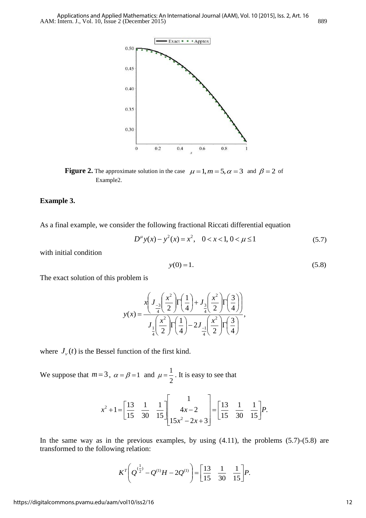

**Figure 2.** The approximate solution in the case  $\mu = 1, m = 5, \alpha = 3$  and  $\beta = 2$  of Example2*.*

#### **Example 3.**

As a final example, we consider the following fractional Riccati differential equation

$$
D^{\mu}y(x) - y^2(x) = x^2, \quad 0 < x < 1, \quad 0 < \mu \le 1 \tag{5.7}
$$

with initial condition

$$
y(0) = 1.
$$
 (5.8)

The exact solution of this problem is

$$
y(x) = \frac{x \left( J_{-\frac{3}{4}} \left( \frac{x^2}{2} \right) \right) \left( \frac{1}{4} \right) + J_{\frac{3}{4}} \left( \frac{x^2}{2} \right) \left( \frac{3}{4} \right) \right)}{J_{\frac{1}{4}} \left( \frac{x^2}{2} \right) \left( \frac{1}{4} \right) - 2J_{\frac{1}{4}} \left( \frac{x^2}{2} \right) \left( \frac{3}{4} \right)},
$$

where  $J_{\nu}(t)$  is the Bessel function of the first kind.

We suppose that  $m=3$ ,  $\alpha = \beta = 1$  and 2  $\mu = \frac{1}{2}$ . It is easy to see that

$$
x^{2}+1=\begin{bmatrix} \frac{13}{15} & \frac{1}{30} & \frac{1}{15} \end{bmatrix} \begin{bmatrix} 1 \\ 4x-2 \\ 15x^{2}-2x+3 \end{bmatrix} = \begin{bmatrix} \frac{13}{15} & \frac{1}{30} & \frac{1}{15} \end{bmatrix} P.
$$

In the same way as in the previous examples, by using (4.11), the problems (5.7)-(5.8) are transformed to the following relation:

$$
K^T \left(Q^{(\frac{1}{2})} - Q^{(1)}H - 2Q^{(1)}\right) = \left[\frac{13}{15} \quad \frac{1}{30} \quad \frac{1}{15}\right] P.
$$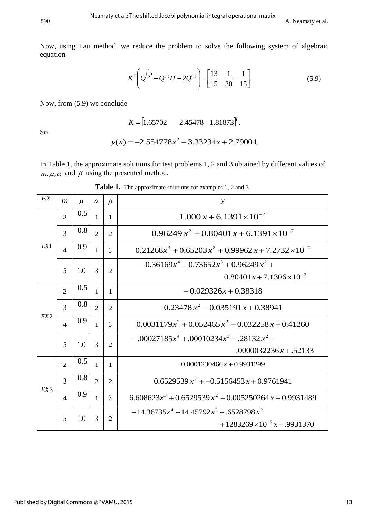Now, using Tau method, we reduce the problem to solve the following system of algebraic equation

$$
K^{T}\left(Q^{(\frac{1}{2})}-Q^{(1)}H-2Q^{(1)}\right)=\left[\frac{13}{15} \quad \frac{1}{30} \quad \frac{1}{15}\right].
$$
\n(5.9)

Now, from (5.9) we conclude

$$
K = [1.65702 \quad -2.45478 \quad 1.81873]^{T}.
$$

So

$$
y(x) = -2.554778x^2 + 3.33234x + 2.79004.
$$

In Table 1, the approximate solutions for test problems 1, 2 and 3 obtained by different values of  $m, \mu, \alpha$  and  $\beta$  using the presented method.

| EX              | $\boldsymbol{m}$        | $\mu$ | $\alpha$       | $\beta$        | $\mathcal{Y}$                                                                    |
|-----------------|-------------------------|-------|----------------|----------------|----------------------------------------------------------------------------------|
|                 |                         |       |                |                |                                                                                  |
| EX1             | $\overline{2}$          | 0.5   | $\mathbf{1}$   | $\overline{1}$ | $1.000 x + 6.1391 \times 10^{-7}$                                                |
|                 | $\overline{3}$          | 0.8   | $\overline{2}$ | 2              | $0.96249 x^2 + 0.80401 x + 6.1391 \times 10^{-7}$                                |
|                 | $\overline{\mathbf{4}}$ | 0.9   | $\mathbf{1}$   | $\overline{3}$ | $0.21268x^3 + 0.65203x^2 + 0.99962x + 7.2732 \times 10^{-7}$                     |
|                 | 5                       | 1.0   | $\overline{3}$ | $\overline{2}$ | $-0.36169x^{4} + 0.73652x^{3} + 0.96249x^{2} +$                                  |
|                 |                         |       |                |                | $0.80401x + 7.1306 \times 10^{-7}$                                               |
| EX2             | $\overline{2}$          | 0.5   | $\mathbf{1}$   | $\overline{1}$ | $-0.029326x + 0.38318$                                                           |
|                 | 3                       | 0.8   | $\overline{2}$ | 2              | $0.23478 x^2 - 0.035191 x + 0.38941$                                             |
|                 | $\boldsymbol{\Lambda}$  | 0.9   | $\mathbf{1}$   | 3              | $0.0031179x^3 + 0.052465x^2 - 0.032258x + 0.41260$                               |
|                 | 5                       | 1.0   | $\overline{3}$ | 2              | $-0.00027185x^{4} + 0.00010234x^{3} - 0.28132x^{2} -$<br>$.0000032236x + .52133$ |
| EX <sub>3</sub> | $\overline{2}$          | 0.5   | $\mathbf{1}$   | $\mathbf{1}$   | $0.0001230466x + 0.9931299$                                                      |
|                 | $\overline{3}$          | 0.8   | $\overline{2}$ | $\mathcal{L}$  | $0.6529539 x^2 + -0.5156453 x + 0.9761941$                                       |
|                 | $\boldsymbol{\Delta}$   | 0.9   | $\mathbf{1}$   | $\overline{3}$ | $6.608623x^3 + 0.6529539x^2 - 0.005250264x + 0.9931489$                          |
|                 | 5                       | 1.0   | 3              | 2              | $-14.36735x^{4} + 14.45792x^{3} + .6528798x^{2}$                                 |
|                 |                         |       |                |                | $+1283269\times10^{-5}x + .9931370$                                              |

Table 1. The approximate solutions for examples 1, 2 and 3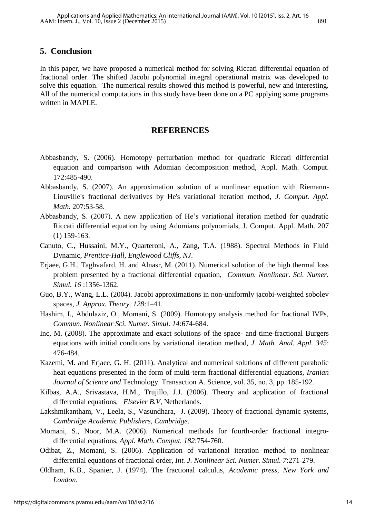#### **5. Conclusion**

In this paper, we have proposed a numerical method for solving Riccati differential equation of fractional order. The shifted Jacobi polynomial integral operational matrix was developed to solve this equation. The numerical results showed this method is powerful, new and interesting. All of the numerical computations in this study have been done on a PC applying some programs written in MAPLE.

#### **REFERENCES**

- Abbasbandy, S. (2006). Homotopy perturbation method for quadratic Riccati differential equation and comparison with Adomian decomposition method, Appl. Math. Comput. 172:485-490.
- Abbasbandy, S. (2007). An approximation solution of a nonlinear equation with Riemann-Liouville's fractional derivatives by He's variational iteration method, *J. Comput. Appl. Math.* 207:53-58.
- Abbasbandy, S. (2007). A new application of He's variational iteration method for quadratic Riccati differential equation by using Adomians polynomials, J. Comput. Appl. Math. 207 (1) 159-163.
- Canuto, C., Hussaini, M.Y., Quarteroni, A., Zang, T.A. (1988). Spectral Methods in Fluid Dynamic, *Prentice-Hall, Englewood Cliffs, NJ*.
- Erjaee, G.H., Taghvafard, H. and Alnasr, M. (2011). Numerical solution of the high thermal loss problem presented by a fractional differential equation, *Commun. Nonlinear. Sci. Numer. Simul. 16* :1356-1362.
- Guo, B.Y., Wang, L.L. (2004). Jacobi approximations in non-uniformly jacobi-weighted sobolev spaces, *J. Approx. Theory. 128*:1–41.
- Hashim, I., Abdulaziz, O., Momani, S. (2009). Homotopy analysis method for fractional IVPs, *Commun. Nonlinear Sci. Numer. Simul. 14*:674-684.
- Inc, M. (2008). The approximate and exact solutions of the space- and time-fractional Burgers equations with initial conditions by variational iteration method, *J. Math. Anal. Appl. 345*: 476-484.
- Kazemi, M. and Erjaee, G. H. (2011). Analytical and numerical solutions of different parabolic heat equations presented in the form of multi-term fractional differential equations, *Iranian Journal of Science and* Technology. Transaction A. Science, vol. 35, no. 3, pp. 185-192.
- Kilbas, A.A., Srivastava, H.M., Trujillo, J.J. (2006). Theory and application of fractional differential equations, *Elsevier B.V*, Netherlands.
- Lakshmikantham, V., Leela, S., Vasundhara, J. (2009). Theory of fractional dynamic systems, *Cambridge Academic Publishers, Cambridge*.
- Momani, S., Noor, M.A. (2006). Numerical methods for fourth-order fractional integrodifferential equations, *Appl. Math. Comput. 182*:754-760.
- Odibat, Z., Momani, S. (2006). Application of variational iteration method to nonlinear differential equations of fractional order, *Int. J. Nonlinear Sci. Numer. Simul. 7*:271-279.
- Oldham, K.B., Spanier, J. (1974). The fractional calculus, *Academic press, New York and London*.